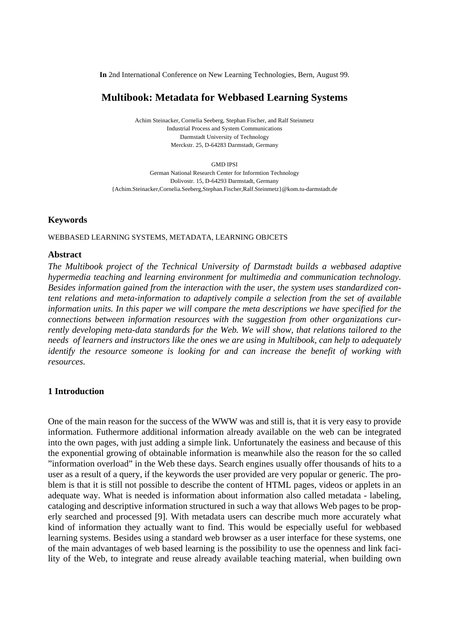**In** 2nd International Conference on New Learning Technologies, Bern, August 99.

## **Multibook: Metadata for Webbased Learning Systems**

Achim Steinacker, Cornelia Seeberg, Stephan Fischer, and Ralf Steinmetz Industrial Process and System Communications Darmstadt University of Technology Merckstr. 25, D-64283 Darmstadt, Germany

GMD IPSI

German National Research Center for Informtion Technology Dolivostr. 15, D-64293 Darmstadt, Germany {Achim.Steinacker,Cornelia.Seeberg,Stephan.Fischer,Ralf.Steinmetz}@kom.tu-darmstadt.de

#### **Keywords**

WEBBASED LEARNING SYSTEMS, METADATA, LEARNING OBJCETS

#### **Abstract**

*The Multibook project of the Technical University of Darmstadt builds a webbased adaptive hypermedia teaching and learning environment for multimedia and communication technology. Besides information gained from the interaction with the user, the system uses standardized content relations and meta-information to adaptively compile a selection from the set of available information units. In this paper we will compare the meta descriptions we have specified for the connections between information resources with the suggestion from other organizations currently developing meta-data standards for the Web. We will show, that relations tailored to the needs of learners and instructors like the ones we are using in Multibook, can help to adequately identify the resource someone is looking for and can increase the benefit of working with resources.*

#### **1 Introduction**

One of the main reason for the success of the WWW was and still is, that it is very easy to provide information. Futhermore additional information already available on the web can be integrated into the own pages, with just adding a simple link. Unfortunately the easiness and because of this the exponential growing of obtainable information is meanwhile also the reason for the so called "information overload" in the Web these days. Search engines usually offer thousands of hits to a user as a result of a query, if the keywords the user provided are very popular or generic. The problem is that it is still not possible to describe the content of HTML pages, videos or applets in an adequate way. What is needed is information about information also called metadata - labeling, cataloging and descriptive information structured in such a way that allows Web pages to be properly searched and processed [9]. With metadata users can describe much more accurately what kind of information they actually want to find. This would be especially useful for webbased learning systems. Besides using a standard web browser as a user interface for these systems, one of the main advantages of web based learning is the possibility to use the openness and link facility of the Web, to integrate and reuse already available teaching material, when building own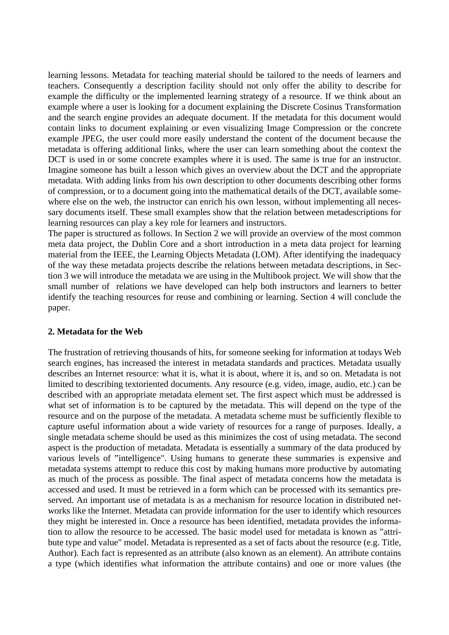learning lessons. Metadata for teaching material should be tailored to the needs of learners and teachers. Consequently a description facility should not only offer the ability to describe for example the difficulty or the implemented learning strategy of a resource. If we think about an example where a user is looking for a document explaining the Discrete Cosinus Transformation and the search engine provides an adequate document. If the metadata for this document would contain links to document explaining or even visualizing Image Compression or the concrete example JPEG, the user could more easily understand the content of the document because the metadata is offering additional links, where the user can learn something about the context the DCT is used in or some concrete examples where it is used. The same is true for an instructor. Imagine someone has built a lesson which gives an overview about the DCT and the appropriate metadata. With adding links from his own description to other documents describing other forms of compression, or to a document going into the mathematical details of the DCT, available somewhere else on the web, the instructor can enrich his own lesson, without implementing all necessary documents itself. These small examples show that the relation between metadescriptions for learning resources can play a key role for learners and instructors.

The paper is structured as follows. In Section 2 we will provide an overview of the most common meta data project, the Dublin Core and a short introduction in a meta data project for learning material from the IEEE, the Learning Objects Metadata (LOM). After identifying the inadequacy of the way these metadata projects describe the relations between metadata descriptions, in Section 3 we will introduce the metadata we are using in the Multibook project. We will show that the small number of relations we have developed can help both instructors and learners to better identify the teaching resources for reuse and combining or learning. Section 4 will conclude the paper.

#### **2. Metadata for the Web**

The frustration of retrieving thousands of hits, for someone seeking for information at todays Web search engines, has increased the interest in metadata standards and practices. Metadata usually describes an Internet resource: what it is, what it is about, where it is, and so on. Metadata is not limited to describing textoriented documents. Any resource (e.g. video, image, audio, etc.) can be described with an appropriate metadata element set. The first aspect which must be addressed is what set of information is to be captured by the metadata. This will depend on the type of the resource and on the purpose of the metadata. A metadata scheme must be sufficiently flexible to capture useful information about a wide variety of resources for a range of purposes. Ideally, a single metadata scheme should be used as this minimizes the cost of using metadata. The second aspect is the production of metadata. Metadata is essentially a summary of the data produced by various levels of "intelligence". Using humans to generate these summaries is expensive and metadata systems attempt to reduce this cost by making humans more productive by automating as much of the process as possible. The final aspect of metadata concerns how the metadata is accessed and used. It must be retrieved in a form which can be processed with its semantics preserved. An important use of metadata is as a mechanism for resource location in distributed networks like the Internet. Metadata can provide information for the user to identify which resources they might be interested in. Once a resource has been identified, metadata provides the information to allow the resource to be accessed. The basic model used for metadata is known as "attribute type and value" model. Metadata is represented as a set of facts about the resource (e.g. Title, Author). Each fact is represented as an attribute (also known as an element). An attribute contains a type (which identifies what information the attribute contains) and one or more values (the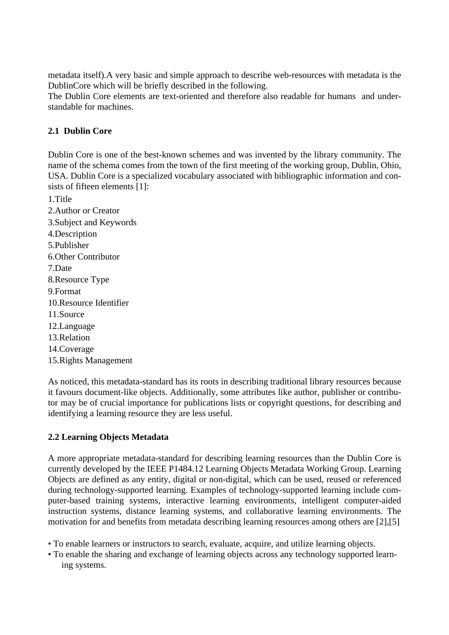metadata itself).A very basic and simple approach to describe web-resources with metadata is the DublinCore which will be briefly described in the following.

The Dublin Core elements are text-oriented and therefore also readable for humans and understandable for machines.

## **2.1 Dublin Core**

Dublin Core is one of the best-known schemes and was invented by the library community. The name of the schema comes from the town of the first meeting of the working group, Dublin, Ohio, USA. Dublin Core is a specialized vocabulary associated with bibliographic information and consists of fifteen elements [1]:

1.Title 2.Author or Creator 3.Subject and Keywords 4.Description 5.Publisher 6.Other Contributor 7.Date 8.Resource Type 9.Format 10.Resource Identifier 11.Source 12.Language 13.Relation 14.Coverage 15.Rights Management

As noticed, this metadata-standard has its roots in describing traditional library resources because it favours document-like objects. Additionally, some attributes like author, publisher or contributor may be of crucial importance for publications lists or copyright questions, for describing and identifying a learning resource they are less useful.

# **2.2 Learning Objects Metadata**

A more appropriate metadata-standard for describing learning resources than the Dublin Core is currently developed by the IEEE P1484.12 Learning Objects Metadata Working Group. Learning Objects are defined as any entity, digital or non-digital, which can be used, reused or referenced during technology-supported learning. Examples of technology-supported learning include computer-based training systems, interactive learning environments, intelligent computer-aided instruction systems, distance learning systems, and collaborative learning environments. The motivation for and benefits from metadata describing learning resources among others are [2],[5]

- To enable learners or instructors to search, evaluate, acquire, and utilize learning objects.
- To enable the sharing and exchange of learning objects across any technology supported learning systems.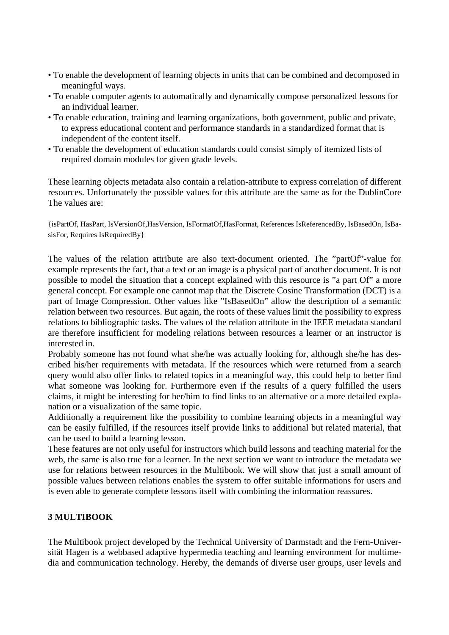- To enable the development of learning objects in units that can be combined and decomposed in meaningful ways.
- To enable computer agents to automatically and dynamically compose personalized lessons for an individual learner.
- To enable education, training and learning organizations, both government, public and private, to express educational content and performance standards in a standardized format that is independent of the content itself.
- To enable the development of education standards could consist simply of itemized lists of required domain modules for given grade levels.

These learning objects metadata also contain a relation-attribute to express correlation of different resources. Unfortunately the possible values for this attribute are the same as for the DublinCore The values are:

{isPartOf, HasPart, IsVersionOf,HasVersion, IsFormatOf,HasFormat, References IsReferencedBy, IsBasedOn, IsBasisFor, Requires IsRequiredBy }

The values of the relation attribute are also text-document oriented. The "partOf"-value for example represents the fact, that a text or an image is a physical part of another document. It is not possible to model the situation that a concept explained with this resource is "a part Of" a more general concept. For example one cannot map that the Discrete Cosine Transformation (DCT) is a part of Image Compression. Other values like "IsBasedOn" allow the description of a semantic relation between two resources. But again, the roots of these values limit the possibility to express relations to bibliographic tasks. The values of the relation attribute in the IEEE metadata standard are therefore insufficient for modeling relations between resources a learner or an instructor is interested in.

Probably someone has not found what she/he was actually looking for, although she/he has described his/her requirements with metadata. If the resources which were returned from a search query would also offer links to related topics in a meaningful way, this could help to better find what someone was looking for. Furthermore even if the results of a query fulfilled the users claims, it might be interesting for her/him to find links to an alternative or a more detailed explanation or a visualization of the same topic.

Additionally a requirement like the possibility to combine learning objects in a meaningful way can be easily fulfilled, if the resources itself provide links to additional but related material, that can be used to build a learning lesson.

These features are not only useful for instructors which build lessons and teaching material for the web, the same is also true for a learner. In the next section we want to introduce the metadata we use for relations between resources in the Multibook. We will show that just a small amount of possible values between relations enables the system to offer suitable informations for users and is even able to generate complete lessons itself with combining the information reassures.

### **3 MULTIBOOK**

The Multibook project developed by the Technical University of Darmstadt and the Fern-Universität Hagen is a webbased adaptive hypermedia teaching and learning environment for multimedia and communication technology. Hereby, the demands of diverse user groups, user levels and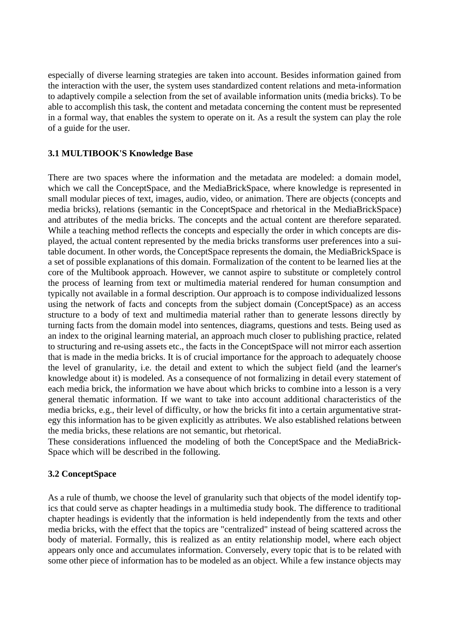especially of diverse learning strategies are taken into account. Besides information gained from the interaction with the user, the system uses standardized content relations and meta-information to adaptively compile a selection from the set of available information units (media bricks). To be able to accomplish this task, the content and metadata concerning the content must be represented in a formal way, that enables the system to operate on it. As a result the system can play the role of a guide for the user.

#### **3.1 MULTIBOOK'S Knowledge Base**

There are two spaces where the information and the metadata are modeled: a domain model, which we call the ConceptSpace, and the MediaBrickSpace, where knowledge is represented in small modular pieces of text, images, audio, video, or animation. There are objects (concepts and media bricks), relations (semantic in the ConceptSpace and rhetorical in the MediaBrickSpace) and attributes of the media bricks. The concepts and the actual content are therefore separated. While a teaching method reflects the concepts and especially the order in which concepts are displayed, the actual content represented by the media bricks transforms user preferences into a suitable document. In other words, the ConceptSpace represents the domain, the MediaBrickSpace is a set of possible explanations of this domain. Formalization of the content to be learned lies at the core of the Multibook approach. However, we cannot aspire to substitute or completely control the process of learning from text or multimedia material rendered for human consumption and typically not available in a formal description. Our approach is to compose individualized lessons using the network of facts and concepts from the subject domain (ConceptSpace) as an access structure to a body of text and multimedia material rather than to generate lessons directly by turning facts from the domain model into sentences, diagrams, questions and tests. Being used as an index to the original learning material, an approach much closer to publishing practice, related to structuring and re-using assets etc., the facts in the ConceptSpace will not mirror each assertion that is made in the media bricks. It is of crucial importance for the approach to adequately choose the level of granularity, i.e. the detail and extent to which the subject field (and the learner's knowledge about it) is modeled. As a consequence of not formalizing in detail every statement of each media brick, the information we have about which bricks to combine into a lesson is a very general thematic information. If we want to take into account additional characteristics of the media bricks, e.g., their level of difficulty, or how the bricks fit into a certain argumentative strategy this information has to be given explicitly as attributes. We also established relations between the media bricks, these relations are not semantic, but rhetorical.

These considerations influenced the modeling of both the ConceptSpace and the MediaBrick-Space which will be described in the following.

### **3.2 ConceptSpace**

As a rule of thumb, we choose the level of granularity such that objects of the model identify topics that could serve as chapter headings in a multimedia study book. The difference to traditional chapter headings is evidently that the information is held independently from the texts and other media bricks, with the effect that the topics are "centralized" instead of being scattered across the body of material. Formally, this is realized as an entity relationship model, where each object appears only once and accumulates information. Conversely, every topic that is to be related with some other piece of information has to be modeled as an object. While a few instance objects may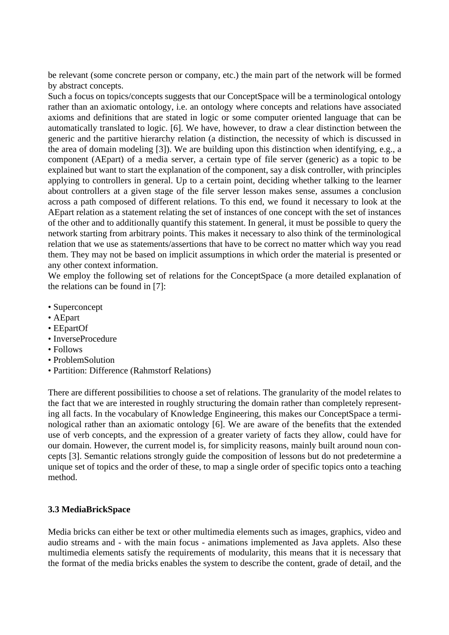be relevant (some concrete person or company, etc.) the main part of the network will be formed by abstract concepts.

Such a focus on topics/concepts suggests that our ConceptSpace will be a terminological ontology rather than an axiomatic ontology, i.e. an ontology where concepts and relations have associated axioms and definitions that are stated in logic or some computer oriented language that can be automatically translated to logic. [6]. We have, however, to draw a clear distinction between the generic and the partitive hierarchy relation (a distinction, the necessity of which is discussed in the area of domain modeling [3]). We are building upon this distinction when identifying, e.g., a component (AEpart) of a media server, a certain type of file server (generic) as a topic to be explained but want to start the explanation of the component, say a disk controller, with principles applying to controllers in general. Up to a certain point, deciding whether talking to the learner about controllers at a given stage of the file server lesson makes sense, assumes a conclusion across a path composed of different relations. To this end, we found it necessary to look at the AEpart relation as a statement relating the set of instances of one concept with the set of instances of the other and to additionally quantify this statement. In general, it must be possible to query the network starting from arbitrary points. This makes it necessary to also think of the terminological relation that we use as statements/assertions that have to be correct no matter which way you read them. They may not be based on implicit assumptions in which order the material is presented or any other context information.

We employ the following set of relations for the ConceptSpace (a more detailed explanation of the relations can be found in [7]:

- Superconcept
- AEpart
- EEpartOf
- InverseProcedure
- Follows
- ProblemSolution
- Partition: Difference (Rahmstorf Relations)

There are different possibilities to choose a set of relations. The granularity of the model relates to the fact that we are interested in roughly structuring the domain rather than completely representing all facts. In the vocabulary of Knowledge Engineering, this makes our ConceptSpace a terminological rather than an axiomatic ontology [6]. We are aware of the benefits that the extended use of verb concepts, and the expression of a greater variety of facts they allow, could have for our domain. However, the current model is, for simplicity reasons, mainly built around noun concepts [3]. Semantic relations strongly guide the composition of lessons but do not predetermine a unique set of topics and the order of these, to map a single order of specific topics onto a teaching method.

### **3.3 MediaBrickSpace**

Media bricks can either be text or other multimedia elements such as images, graphics, video and audio streams and - with the main focus - animations implemented as Java applets. Also these multimedia elements satisfy the requirements of modularity, this means that it is necessary that the format of the media bricks enables the system to describe the content, grade of detail, and the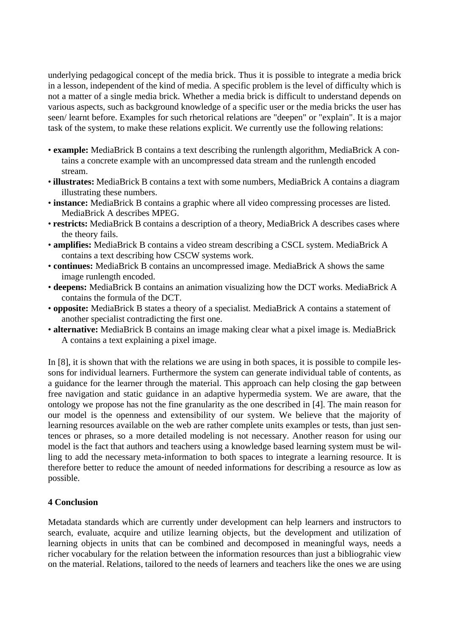underlying pedagogical concept of the media brick. Thus it is possible to integrate a media brick in a lesson, independent of the kind of media. A specific problem is the level of difficulty which is not a matter of a single media brick. Whether a media brick is difficult to understand depends on various aspects, such as background knowledge of a specific user or the media bricks the user has seen/ learnt before. Examples for such rhetorical relations are "deepen" or "explain". It is a major task of the system, to make these relations explicit. We currently use the following relations:

- **example:** MediaBrick B contains a text describing the runlength algorithm, MediaBrick A contains a concrete example with an uncompressed data stream and the runlength encoded stream.
- **illustrates:** MediaBrick B contains a text with some numbers, MediaBrick A contains a diagram illustrating these numbers.
- **instance:** MediaBrick B contains a graphic where all video compressing processes are listed. MediaBrick A describes MPEG.
- **restricts:** MediaBrick B contains a description of a theory, MediaBrick A describes cases where the theory fails.
- **amplifies:** MediaBrick B contains a video stream describing a CSCL system. MediaBrick A contains a text describing how CSCW systems work.
- **continues:** MediaBrick B contains an uncompressed image. MediaBrick A shows the same image runlength encoded.
- **deepens:** MediaBrick B contains an animation visualizing how the DCT works. MediaBrick A contains the formula of the DCT.
- **opposite:** MediaBrick B states a theory of a specialist. MediaBrick A contains a statement of another specialist contradicting the first one.
- **alternative:** MediaBrick B contains an image making clear what a pixel image is. MediaBrick A contains a text explaining a pixel image.

In [8], it is shown that with the relations we are using in both spaces, it is possible to compile lessons for individual learners. Furthermore the system can generate individual table of contents, as a guidance for the learner through the material. This approach can help closing the gap between free navigation and static guidance in an adaptive hypermedia system. We are aware, that the ontology we propose has not the fine granularity as the one described in [4]. The main reason for our model is the openness and extensibility of our system. We believe that the majority of learning resources available on the web are rather complete units examples or tests, than just sentences or phrases, so a more detailed modeling is not necessary. Another reason for using our model is the fact that authors and teachers using a knowledge based learning system must be willing to add the necessary meta-information to both spaces to integrate a learning resource. It is therefore better to reduce the amount of needed informations for describing a resource as low as possible.

### **4 Conclusion**

Metadata standards which are currently under development can help learners and instructors to search, evaluate, acquire and utilize learning objects, but the development and utilization of learning objects in units that can be combined and decomposed in meaningful ways, needs a richer vocabulary for the relation between the information resources than just a bibliograhic view on the material. Relations, tailored to the needs of learners and teachers like the ones we are using